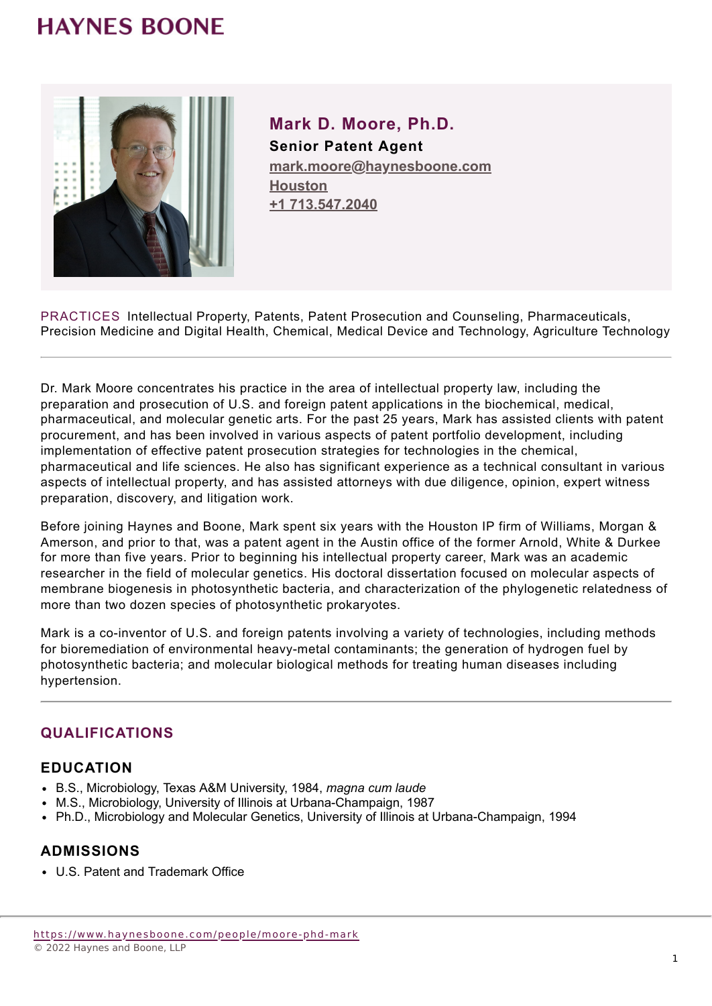# **HAYNES BOONE**



**Mark D. Moore, Ph.D. Senior Patent Agent mark.moore@haynesboone.com [Houston](https://www.haynesboone.com/locations/houston) [+1 713.547.2040](tel://+1 713.547.2040)**

PRACTICES Intellectual Property, Patents, Patent Prosecution and Counseling, Pharmaceuticals, Precision Medicine and Digital Health, Chemical, Medical Device and Technology, Agriculture Technology

Dr. Mark Moore concentrates his practice in the area of intellectual property law, including the preparation and prosecution of U.S. and foreign patent applications in the biochemical, medical, pharmaceutical, and molecular genetic arts. For the past 25 years, Mark has assisted clients with patent procurement, and has been involved in various aspects of patent portfolio development, including implementation of effective patent prosecution strategies for technologies in the chemical, pharmaceutical and life sciences. He also has significant experience as a technical consultant in various aspects of intellectual property, and has assisted attorneys with due diligence, opinion, expert witness preparation, discovery, and litigation work.

Before joining Haynes and Boone, Mark spent six years with the Houston IP firm of Williams, Morgan & Amerson, and prior to that, was a patent agent in the Austin office of the former Arnold, White & Durkee for more than five years. Prior to beginning his intellectual property career, Mark was an academic researcher in the field of molecular genetics. His doctoral dissertation focused on molecular aspects of membrane biogenesis in photosynthetic bacteria, and characterization of the phylogenetic relatedness of more than two dozen species of photosynthetic prokaryotes.

Mark is a co-inventor of U.S. and foreign patents involving a variety of technologies, including methods for bioremediation of environmental heavy-metal contaminants; the generation of hydrogen fuel by photosynthetic bacteria; and molecular biological methods for treating human diseases including hypertension.

# **QUALIFICATIONS**

#### **EDUCATION**

- B.S., Microbiology, Texas A&M University, 1984, *magna cum laude*
- M.S., Microbiology, University of Illinois at Urbana-Champaign, 1987
- Ph.D., Microbiology and Molecular Genetics, University of Illinois at Urbana-Champaign, 1994

#### **ADMISSIONS**

U.S. Patent and Trademark Office

<https://www.haynesboone.com/people/moore-phd-mark> © 2022 Haynes and Boone, LLP